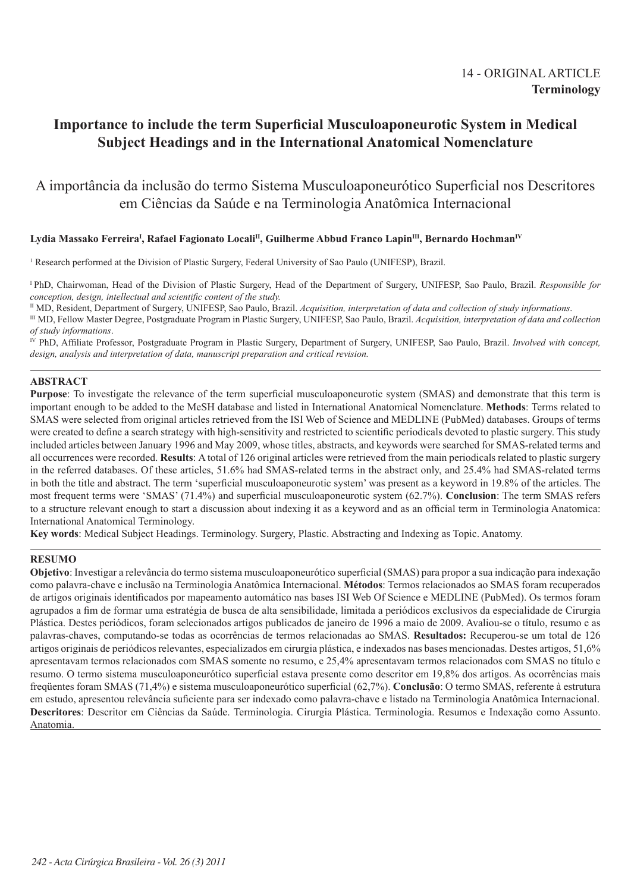# 14 - ORIGINAL ARTICLE **Terminology**

# **Importance to include the term Superficial Musculoaponeurotic System in Medical Subject Headings and in the International Anatomical Nomenclature**

# A importância da inclusão do termo Sistema Musculoaponeurótico Superficial nos Descritores em Ciências da Saúde e na Terminologia Anatômica Internacional

## **Lydia Massako Ferreira<sup>I</sup> , Rafael Fagionato LocaliII, Guilherme Abbud Franco LapinIII, Bernardo HochmanIV**

<sup>1</sup> Research performed at the Division of Plastic Surgery, Federal University of Sao Paulo (UNIFESP), Brazil.

<sup>I</sup>PhD, Chairwoman, Head of the Division of Plastic Surgery, Head of the Department of Surgery, UNIFESP, Sao Paulo, Brazil. *Responsible for conception, design, intellectual and scientific content of the study.*

II MD, Resident, Department of Surgery, UNIFESP, Sao Paulo, Brazil. *Acquisition, interpretation of data and collection of study informations*.

III MD, Fellow Master Degree, Postgraduate Program in Plastic Surgery, UNIFESP, Sao Paulo, Brazil. *Acquisition, interpretation of data and collection of study informations*.

IV PhD, Affiliate Professor, Postgraduate Program in Plastic Surgery, Department of Surgery, UNIFESP, Sao Paulo, Brazil. *Involved with* c*oncept, design, analysis and interpretation of data, manuscript preparation and critical revision.* 

## **ABSTRACT**

**Purpose**: To investigate the relevance of the term superficial musculoaponeurotic system (SMAS) and demonstrate that this term is important enough to be added to the MeSH database and listed in International Anatomical Nomenclature. **Methods**: Terms related to SMAS were selected from original articles retrieved from the ISI Web of Science and MEDLINE (PubMed) databases. Groups of terms were created to define a search strategy with high-sensitivity and restricted to scientific periodicals devoted to plastic surgery. This study included articles between January 1996 and May 2009, whose titles, abstracts, and keywords were searched for SMAS-related terms and all occurrences were recorded. **Results**: A total of 126 original articles were retrieved from the main periodicals related to plastic surgery in the referred databases. Of these articles, 51.6% had SMAS-related terms in the abstract only, and 25.4% had SMAS-related terms in both the title and abstract. The term 'superficial musculoaponeurotic system' was present as a keyword in 19.8% of the articles. The most frequent terms were 'SMAS' (71.4%) and superficial musculoaponeurotic system (62.7%). **Conclusion**: The term SMAS refers to a structure relevant enough to start a discussion about indexing it as a keyword and as an official term in Terminologia Anatomica: International Anatomical Terminology.

**Key words**: Medical Subject Headings. Terminology. Surgery, Plastic. Abstracting and Indexing as Topic. Anatomy.

## **RESUMO**

**Objetivo**: Investigar a relevância do termo sistema musculoaponeurótico superficial (SMAS) para propor a sua indicação para indexação como palavra-chave e inclusão na Terminologia Anatômica Internacional. **Métodos**: Termos relacionados ao SMAS foram recuperados de artigos originais identificados por mapeamento automático nas bases ISI Web Of Science e MEDLINE (PubMed). Os termos foram agrupados a fim de formar uma estratégia de busca de alta sensibilidade, limitada a periódicos exclusivos da especialidade de Cirurgia Plástica. Destes periódicos, foram selecionados artigos publicados de janeiro de 1996 a maio de 2009. Avaliou-se o título, resumo e as palavras-chaves, computando-se todas as ocorrências de termos relacionadas ao SMAS. **Resultados:** Recuperou-se um total de 126 artigos originais de periódicos relevantes, especializados em cirurgia plástica, e indexados nas bases mencionadas. Destes artigos, 51,6% apresentavam termos relacionados com SMAS somente no resumo, e 25,4% apresentavam termos relacionados com SMAS no título e resumo. O termo sistema musculoaponeurótico superficial estava presente como descritor em 19,8% dos artigos. As ocorrências mais freqüentes foram SMAS (71,4%) e sistema musculoaponeurótico superficial (62,7%). **Conclusão**: O termo SMAS, referente à estrutura em estudo, apresentou relevância suficiente para ser indexado como palavra-chave e listado na Terminologia Anatômica Internacional. **Descritores**: Descritor em Ciências da Saúde. Terminologia. Cirurgia Plástica. Terminologia. Resumos e Indexação como Assunto. Anatomia.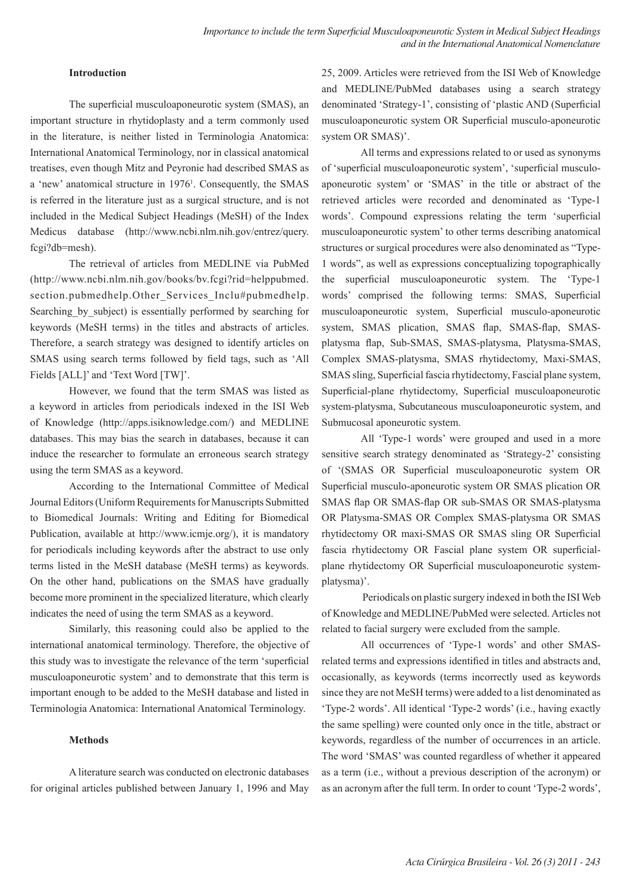#### **Introduction**

The superficial musculoaponeurotic system (SMAS), an important structure in rhytidoplasty and a term commonly used in the literature, is neither listed in Terminologia Anatomica: International Anatomical Terminology, nor in classical anatomical treatises, even though Mitz and Peyronie had described SMAS as a 'new' anatomical structure in 1976<sup>1</sup>. Consequently, the SMAS is referred in the literature just as a surgical structure, and is not included in the Medical Subject Headings (MeSH) of the Index Medicus database (http://www.ncbi.nlm.nih.gov/entrez/query. fcgi?db=mesh).

The retrieval of articles from MEDLINE via PubMed (http://www.ncbi.nlm.nih.gov/books/bv.fcgi?rid=helppubmed. section.pubmedhelp.Other\_Services\_Inclu#pubmedhelp. Searching by subject) is essentially performed by searching for keywords (MeSH terms) in the titles and abstracts of articles. Therefore, a search strategy was designed to identify articles on SMAS using search terms followed by field tags, such as 'All Fields [ALL]' and 'Text Word [TW]'.

However, we found that the term SMAS was listed as a keyword in articles from periodicals indexed in the ISI Web of Knowledge (http://apps.isiknowledge.com/) and MEDLINE databases. This may bias the search in databases, because it can induce the researcher to formulate an erroneous search strategy using the term SMAS as a keyword.

According to the International Committee of Medical Journal Editors (Uniform Requirements for Manuscripts Submitted to Biomedical Journals: Writing and Editing for Biomedical Publication, available at http://www.icmje.org/), it is mandatory for periodicals including keywords after the abstract to use only terms listed in the MeSH database (MeSH terms) as keywords. On the other hand, publications on the SMAS have gradually become more prominent in the specialized literature, which clearly indicates the need of using the term SMAS as a keyword.

Similarly, this reasoning could also be applied to the international anatomical terminology. Therefore, the objective of this study was to investigate the relevance of the term 'superficial musculoaponeurotic system' and to demonstrate that this term is important enough to be added to the MeSH database and listed in Terminologia Anatomica: International Anatomical Terminology.

### **Methods**

A literature search was conducted on electronic databases for original articles published between January 1, 1996 and May 25, 2009. Articles were retrieved from the ISI Web of Knowledge and MEDLINE/PubMed databases using a search strategy denominated 'Strategy-1', consisting of 'plastic AND (Superficial musculoaponeurotic system OR Superficial musculo-aponeurotic system OR SMAS)'.

All terms and expressions related to or used as synonyms of 'superficial musculoaponeurotic system', 'superficial musculoaponeurotic system' or 'SMAS' in the title or abstract of the retrieved articles were recorded and denominated as 'Type-1 words'. Compound expressions relating the term 'superficial musculoaponeurotic system' to other terms describing anatomical structures or surgical procedures were also denominated as "Type-1 words", as well as expressions conceptualizing topographically the superficial musculoaponeurotic system. The 'Type-1 words' comprised the following terms: SMAS, Superficial musculoaponeurotic system, Superficial musculo-aponeurotic system, SMAS plication, SMAS flap, SMAS-flap, SMASplatysma flap, Sub-SMAS, SMAS-platysma, Platysma-SMAS, Complex SMAS-platysma, SMAS rhytidectomy, Maxi-SMAS, SMAS sling, Superficial fascia rhytidectomy, Fascial plane system, Superficial-plane rhytidectomy, Superficial musculoaponeurotic system-platysma, Subcutaneous musculoaponeurotic system, and Submucosal aponeurotic system.

All 'Type-1 words' were grouped and used in a more sensitive search strategy denominated as 'Strategy-2' consisting of '(SMAS OR Superficial musculoaponeurotic system OR Superficial musculo-aponeurotic system OR SMAS plication OR SMAS flap OR SMAS-flap OR sub-SMAS OR SMAS-platysma OR Platysma-SMAS OR Complex SMAS-platysma OR SMAS rhytidectomy OR maxi-SMAS OR SMAS sling OR Superficial fascia rhytidectomy OR Fascial plane system OR superficialplane rhytidectomy OR Superficial musculoaponeurotic systemplatysma)'.

 Periodicals on plastic surgery indexed in both the ISI Web of Knowledge and MEDLINE/PubMed were selected. Articles not related to facial surgery were excluded from the sample.

All occurrences of 'Type-1 words' and other SMASrelated terms and expressions identified in titles and abstracts and, occasionally, as keywords (terms incorrectly used as keywords since they are not MeSH terms) were added to a list denominated as 'Type-2 words'. All identical 'Type-2 words' (i.e., having exactly the same spelling) were counted only once in the title, abstract or keywords, regardless of the number of occurrences in an article. The word 'SMAS' was counted regardless of whether it appeared as a term (i.e., without a previous description of the acronym) or as an acronym after the full term. In order to count 'Type-2 words',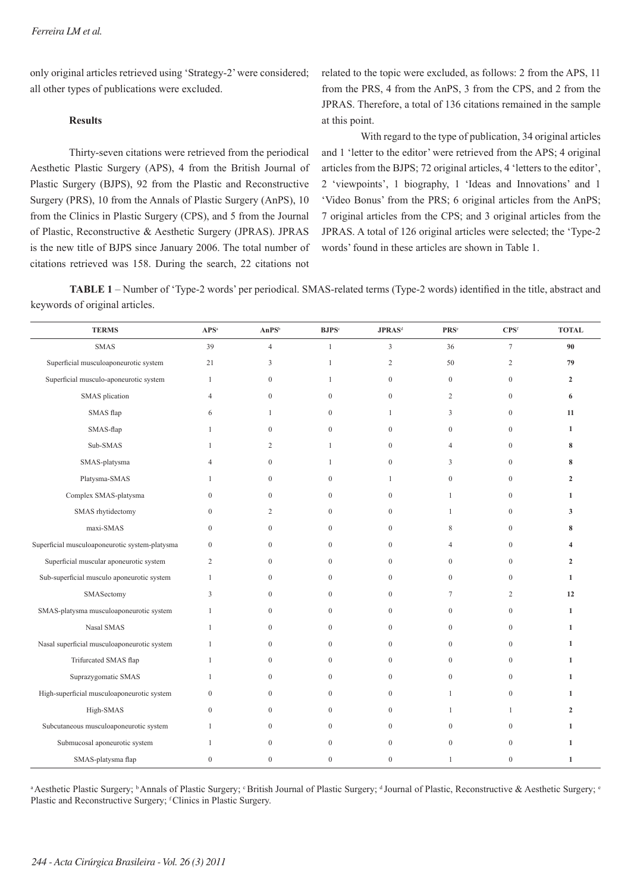only original articles retrieved using 'Strategy-2' were considered; all other types of publications were excluded.

### **Results**

Thirty-seven citations were retrieved from the periodical Aesthetic Plastic Surgery (APS), 4 from the British Journal of Plastic Surgery (BJPS), 92 from the Plastic and Reconstructive Surgery (PRS), 10 from the Annals of Plastic Surgery (AnPS), 10 from the Clinics in Plastic Surgery (CPS), and 5 from the Journal of Plastic, Reconstructive & Aesthetic Surgery (JPRAS). JPRAS is the new title of BJPS since January 2006. The total number of citations retrieved was 158. During the search, 22 citations not

related to the topic were excluded, as follows: 2 from the APS, 11 from the PRS, 4 from the AnPS, 3 from the CPS, and 2 from the JPRAS. Therefore, a total of 136 citations remained in the sample at this point.

With regard to the type of publication, 34 original articles and 1 'letter to the editor' were retrieved from the APS; 4 original articles from the BJPS; 72 original articles, 4 'letters to the editor', 2 'viewpoints', 1 biography, 1 'Ideas and Innovations' and 1 'Video Bonus' from the PRS; 6 original articles from the AnPS; 7 original articles from the CPS; and 3 original articles from the JPRAS. A total of 126 original articles were selected; the 'Type-2 words' found in these articles are shown in Table 1.

**TABLE 1** – Number of 'Type-2 words' per periodical. SMAS-related terms (Type-2 words) identified in the title, abstract and keywords of original articles.

| <b>TERMS</b>                                   | $\mathbf{APS}^a$ | $\mathbf{AnPS}^{\rm b}$ | BJPSc            | $\mathbf{JPRAS}^\text{d}$ | <b>PRS</b> <sup>c</sup> | CPSf             | <b>TOTAL</b>     |
|------------------------------------------------|------------------|-------------------------|------------------|---------------------------|-------------------------|------------------|------------------|
| <b>SMAS</b>                                    | 39               | $\overline{4}$          | $\mathbf{1}$     | $\overline{3}$            | 36                      | $\overline{7}$   | 90               |
| Superficial musculoaponeurotic system          | 21               | 3                       | $\mathbf{1}$     | $\overline{c}$            | 50                      | $\overline{c}$   | 79               |
| Superficial musculo-aponeurotic system         | $\mathbf{1}$     | $\boldsymbol{0}$        | $\mathbf{1}$     | $\boldsymbol{0}$          | $\overline{0}$          | $\boldsymbol{0}$ | $\boldsymbol{2}$ |
| SMAS plication                                 | $\overline{4}$   | $\mathbf{0}$            | $\overline{0}$   | $\mathbf{0}$              | $\overline{2}$          | $\overline{0}$   | 6                |
| SMAS flap                                      | 6                | $\mathbf{1}$            | $\overline{0}$   | $\mathbf{1}$              | 3                       | $\overline{0}$   | 11               |
| SMAS-flap                                      | 1                | $\mathbf{0}$            | $\overline{0}$   | $\mathbf{0}$              | $\mathbf{0}$            | $\overline{0}$   | $\mathbf{1}$     |
| Sub-SMAS                                       | $\mathbf{1}$     | $\overline{c}$          | $\mathbf{1}$     | $\mathbf{0}$              | $\overline{4}$          | $\overline{0}$   | 8                |
| SMAS-platysma                                  | $\overline{4}$   | $\mathbf{0}$            | $\mathbf{1}$     | $\mathbf{0}$              | 3                       | $\overline{0}$   | 8                |
| Platysma-SMAS                                  | $\mathbf{1}$     | $\mathbf{0}$            | $\overline{0}$   | $\mathbf{1}$              | $\mathbf{0}$            | $\overline{0}$   | $\overline{2}$   |
| Complex SMAS-platysma                          | $\theta$         | $\overline{0}$          | $\overline{0}$   | $\mathbf{0}$              | $\mathbf{1}$            | $\overline{0}$   | 1                |
| SMAS rhytidectomy                              | $\overline{0}$   | 2                       | $\mathbf{0}$     | $\mathbf{0}$              | $\mathbf{1}$            | $\boldsymbol{0}$ | 3                |
| maxi-SMAS                                      | $\boldsymbol{0}$ | $\boldsymbol{0}$        | $\boldsymbol{0}$ | $\boldsymbol{0}$          | 8                       | $\boldsymbol{0}$ | 8                |
| Superficial musculoaponeurotic system-platysma | $\mathbf{0}$     | $\overline{0}$          | $\overline{0}$   | $\mathbf{0}$              | $\overline{4}$          | $\overline{0}$   | 4                |
| Superficial muscular aponeurotic system        | $\overline{2}$   | $\overline{0}$          | $\overline{0}$   | $\mathbf{0}$              | $\overline{0}$          | $\overline{0}$   | $\overline{2}$   |
| Sub-superficial musculo aponeurotic system     | $\mathbf{1}$     | $\boldsymbol{0}$        | $\mathbf{0}$     | $\mathbf{0}$              | $\boldsymbol{0}$        | $\boldsymbol{0}$ | 1                |
| SMASectomy                                     | $\overline{3}$   | $\boldsymbol{0}$        | $\overline{0}$   | $\boldsymbol{0}$          | $7\phantom{.0}$         | $\overline{2}$   | 12               |
| SMAS-platysma musculoaponeurotic system        | $\mathbf{1}$     | $\mathbf{0}$            | $\overline{0}$   | $\mathbf{0}$              | $\mathbf{0}$            | $\overline{0}$   | $\mathbf{1}$     |
| Nasal SMAS                                     | $\mathbf{1}$     | $\overline{0}$          | $\overline{0}$   | $\mathbf{0}$              | $\mathbf{0}$            | $\overline{0}$   | 1                |
| Nasal superficial musculoaponeurotic system    | $\mathbf{1}$     | $\boldsymbol{0}$        | $\mathbf{0}$     | $\mathbf{0}$              | $\boldsymbol{0}$        | $\boldsymbol{0}$ | $\mathbf{1}$     |
| Trifurcated SMAS flap                          | $\mathbf{1}$     | $\boldsymbol{0}$        | $\overline{0}$   | $\boldsymbol{0}$          | $\boldsymbol{0}$        | $\overline{0}$   | $\mathbf{1}$     |
| Suprazygomatic SMAS                            | $\mathbf{1}$     | $\mathbf{0}$            | $\overline{0}$   | $\mathbf{0}$              | $\mathbf{0}$            | $\overline{0}$   | $\mathbf{1}$     |
| High-superficial musculoaponeurotic system     | $\theta$         | $\mathbf{0}$            | $\overline{0}$   | $\mathbf{0}$              | $\mathbf{1}$            | $\mathbf{0}$     | $\mathbf{1}$     |
| High-SMAS                                      | $\mathbf{0}$     | $\mathbf{0}$            | $\overline{0}$   | $\boldsymbol{0}$          | $\mathbf{1}$            | $\mathbf{1}$     | $\overline{2}$   |
| Subcutaneous musculoaponeurotic system         | $\mathbf{1}$     | $\mathbf{0}$            | $\overline{0}$   | $\mathbf{0}$              | $\mathbf{0}$            | $\overline{0}$   | $\mathbf{1}$     |
| Submucosal aponeurotic system                  | $\mathbf{1}$     | $\boldsymbol{0}$        | $\overline{0}$   | $\boldsymbol{0}$          | $\boldsymbol{0}$        | $\mathbf{0}$     | $\mathbf{1}$     |
| SMAS-platysma flap                             | $\mathbf{0}$     | $\mathbf{0}$            | $\overline{0}$   | $\mathbf{0}$              | $\mathbf{1}$            | $\overline{0}$   | $\mathbf{1}$     |

a Aesthetic Plastic Surgery; <sup>b</sup> Annals of Plastic Surgery; <sup>c</sup> British Journal of Plastic Surgery; <sup>d</sup> Journal of Plastic, Reconstructive & Aesthetic Surgery; <sup>e</sup> Plastic and Reconstructive Surgery; f Clinics in Plastic Surgery.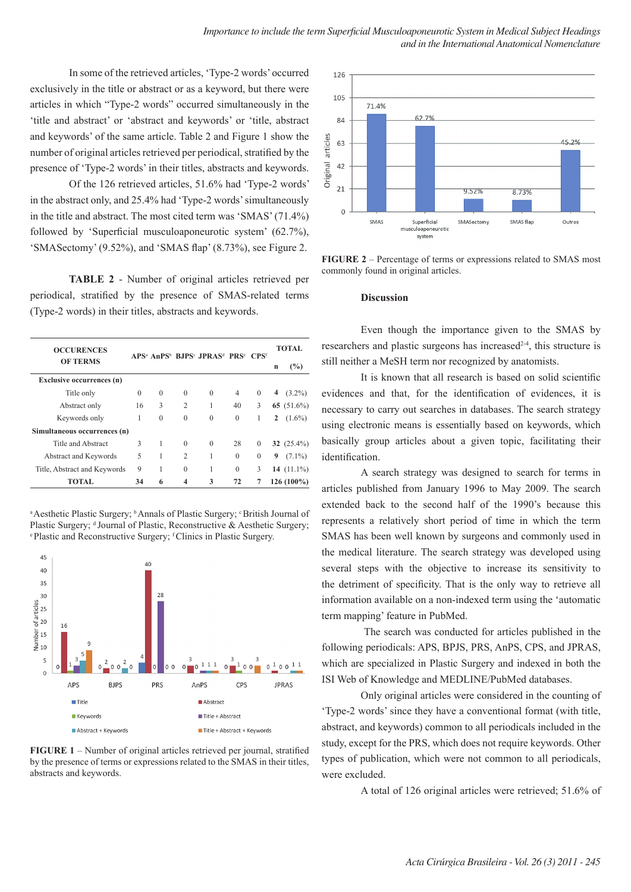In some of the retrieved articles, 'Type-2 words' occurred exclusively in the title or abstract or as a keyword, but there were articles in which "Type-2 words" occurred simultaneously in the 'title and abstract' or 'abstract and keywords' or 'title, abstract and keywords' of the same article. Table 2 and Figure 1 show the number of original articles retrieved per periodical, stratified by the presence of 'Type-2 words' in their titles, abstracts and keywords.

Of the 126 retrieved articles, 51.6% had 'Type-2 words' in the abstract only, and 25.4% had 'Type-2 words' simultaneously in the title and abstract. The most cited term was 'SMAS' (71.4%) followed by 'Superficial musculoaponeurotic system' (62.7%), 'SMASectomy' (9.52%), and 'SMAS flap' (8.73%), see Figure 2.

**TABLE 2** - Number of original articles retrieved per periodical, stratified by the presence of SMAS-related terms (Type-2 words) in their titles, abstracts and keywords.

| <b>OCCURENCES</b>                |          |              |                | APS <sup>a</sup> AnPS <sup>b</sup> BJPS <sup>c</sup> JPRAS <sup>d</sup> PRS <sup>c</sup> CPS <sup>f</sup> |          |          | <b>TOTAL</b>   |               |
|----------------------------------|----------|--------------|----------------|-----------------------------------------------------------------------------------------------------------|----------|----------|----------------|---------------|
| <b>OF TERMS</b>                  |          |              |                |                                                                                                           |          |          | $\mathbf n$    | (%)           |
| <b>Exclusive occurrences (n)</b> |          |              |                |                                                                                                           |          |          |                |               |
| Title only                       | $\Omega$ | $\Omega$     | $\Omega$       | $\theta$                                                                                                  | 4        | $\Omega$ | 4              | $(3.2\%)$     |
| Abstract only                    | 16       | 3            | $\overline{2}$ | 1                                                                                                         | 40       | 3        |                | 65 $(51.6\%)$ |
| Keywords only                    | 1        | $\mathbf{0}$ | $\mathbf{0}$   | $\mathbf{0}$                                                                                              | $\theta$ | 1        | $\overline{2}$ | $(1.6\%)$     |
| Simultaneous occurrences (n)     |          |              |                |                                                                                                           |          |          |                |               |
| Title and Abstract               | 3        | 1            | $\Omega$       | $\theta$                                                                                                  | 28       | $\Omega$ |                | 32 $(25.4\%)$ |
| Abstract and Keywords            | 5        | 1            | $\overline{2}$ | 1                                                                                                         | $\theta$ | $\Omega$ | 9              | $(7.1\%)$     |
| Title, Abstract and Keywords     | 9        | 1            | $\theta$       | 1                                                                                                         | $\theta$ | 3        |                | 14 $(11.1\%)$ |
| <b>TOTAL</b>                     | 34       | 6            | 4              | 3                                                                                                         | 72       | 7        |                | 126 (100%)    |

<sup>a</sup> Aesthetic Plastic Surgery; <sup>b</sup>Annals of Plastic Surgery; <sup>c</sup> British Journal of Plastic Surgery;  $d$  Journal of Plastic, Reconstructive & Aesthetic Surgery; <sup>e</sup>Plastic and Reconstructive Surgery; <sup>f</sup>Clinics in Plastic Surgery.



**FIGURE 1** – Number of original articles retrieved per journal, stratified by the presence of terms or expressions related to the SMAS in their titles, abstracts and keywords.



**FIGURE 2** – Percentage of terms or expressions related to SMAS most commonly found in original articles.

#### **Discussion**

Even though the importance given to the SMAS by researchers and plastic surgeons has increased<sup>2-4</sup>, this structure is still neither a MeSH term nor recognized by anatomists.

It is known that all research is based on solid scientific evidences and that, for the identification of evidences, it is necessary to carry out searches in databases. The search strategy using electronic means is essentially based on keywords, which basically group articles about a given topic, facilitating their identification.

A search strategy was designed to search for terms in articles published from January 1996 to May 2009. The search extended back to the second half of the 1990's because this represents a relatively short period of time in which the term SMAS has been well known by surgeons and commonly used in the medical literature. The search strategy was developed using several steps with the objective to increase its sensitivity to the detriment of specificity. That is the only way to retrieve all information available on a non-indexed term using the 'automatic term mapping' feature in PubMed.

 The search was conducted for articles published in the following periodicals: APS, BPJS, PRS, AnPS, CPS, and JPRAS, which are specialized in Plastic Surgery and indexed in both the ISI Web of Knowledge and MEDLINE/PubMed databases.

Only original articles were considered in the counting of 'Type-2 words' since they have a conventional format (with title, abstract, and keywords) common to all periodicals included in the study, except for the PRS, which does not require keywords. Other types of publication, which were not common to all periodicals, were excluded.

A total of 126 original articles were retrieved; 51.6% of